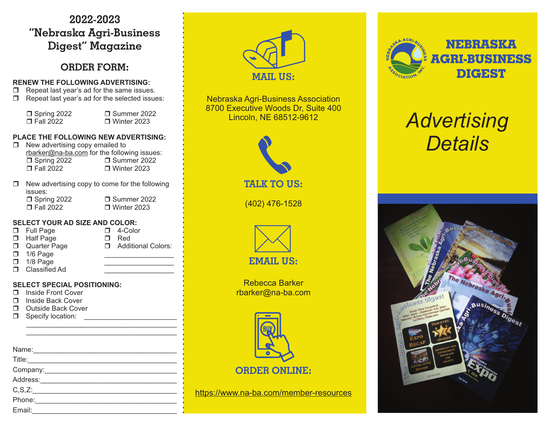## **2022-2023"Nebraska Agri-Business Digest" Magazine**

## **ORDER FORM:**

#### **RENEW THE FOLLOWING ADVERTISING:**

- $\Box$ Repeat last year's ad for the same issues.
- $\Box$  Repeat last year's ad for the selected issues:

| $\Box$ Spring 2022<br>$\Box$ Fall 2022                                                                                                                                  | □ Summer 2022<br>$\Box$ Winter 2023 |
|-------------------------------------------------------------------------------------------------------------------------------------------------------------------------|-------------------------------------|
| <b>PLACE THE FOLLOWING NEW ADVERTISING:</b><br>New advertising copy emailed to<br>rbarker@na-ba.com for the following issues:<br>$\Box$ Spring 2022<br>$\Box$ Fall 2022 | □ Summer 2022<br>$\Box$ Winter 2023 |
| New advertising copy to come for the following<br>issues:<br>$\Box$ Spring 2022<br>$\Box$ Fall 2022                                                                     | □ Summer 2022<br>$\Box$ Winter 2023 |

#### **SELECT YOUR AD SIZE AND COLOR:**

- □ Full Page 4-Color
- $\Box$  Half Page  $\Box$  Red
- $\Box$
- Quarter Page  $\Box$  Additional Colors:
- $\Box$ 1/8 Page
- □ 1/6 Page \_\_\_\_\_\_\_\_\_\_\_\_\_\_\_\_\_\_\_\_\_\_\_\_\_\_\_\_\_\_\_\_\_\_\_
- □ Classified Ad

#### **SELECT SPECIAL POSITIONING:**

- □ Inside Front Cover
- □ Inside Back Cover
- □ Outside Back Cover
- Specify location: \_\_\_\_\_\_\_\_\_\_\_\_\_\_\_\_\_\_\_\_\_\_\_\_

| Name:                                                                                                                                                                                                                          |
|--------------------------------------------------------------------------------------------------------------------------------------------------------------------------------------------------------------------------------|
| Title:                                                                                                                                                                                                                         |
|                                                                                                                                                                                                                                |
| Address:                                                                                                                                                                                                                       |
| C, S, Z:                                                                                                                                                                                                                       |
| Phone: The control of the control of the control of the control of the control of the control of the control of the control of the control of the control of the control of the control of the control of the control of the c |
| Email:                                                                                                                                                                                                                         |



Nebraska Agri-Business Association 8700 Executive Woods Dr, Suite 400 Lincoln, NE 68512-9612



(402) 476-1528



Rebecca Barkerrbarker@na-ba.com



https://www.na-ba.com/member-resources



# *Advertising Details*